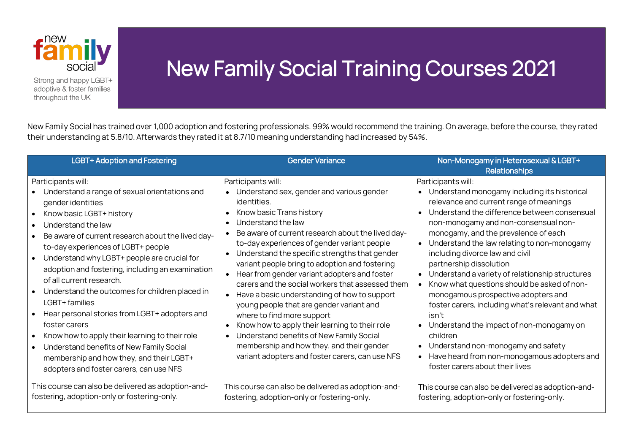

Strong and happy LGBT+ adoptive & foster families throughout the UK

## New Family Social Training Courses 2021

New Family Social has trained over 1,000 adoption and fostering professionals. 99% would recommend the training. On average, before the course, they rated their understanding at 5.8/10. Afterwards they rated it at 8.7/10 meaning understanding had increased by 54%.

| <b>LGBT+ Adoption and Fostering</b>                                                                                                                                                                                                                                                                                                                                                                                                                                                                                                                                                                                                                                                             | <b>Gender Variance</b>                                                                                                                                                                                                                                                                                                                                                                                                                                                                                                                                                                                                                                                                                                                                                                     | Non-Monogamy in Heterosexual & LGBT+<br><b>Relationships</b>                                                                                                                                                                                                                                                                                                                                                                                                                                                                                                                                                                                                                                                                                                  |
|-------------------------------------------------------------------------------------------------------------------------------------------------------------------------------------------------------------------------------------------------------------------------------------------------------------------------------------------------------------------------------------------------------------------------------------------------------------------------------------------------------------------------------------------------------------------------------------------------------------------------------------------------------------------------------------------------|--------------------------------------------------------------------------------------------------------------------------------------------------------------------------------------------------------------------------------------------------------------------------------------------------------------------------------------------------------------------------------------------------------------------------------------------------------------------------------------------------------------------------------------------------------------------------------------------------------------------------------------------------------------------------------------------------------------------------------------------------------------------------------------------|---------------------------------------------------------------------------------------------------------------------------------------------------------------------------------------------------------------------------------------------------------------------------------------------------------------------------------------------------------------------------------------------------------------------------------------------------------------------------------------------------------------------------------------------------------------------------------------------------------------------------------------------------------------------------------------------------------------------------------------------------------------|
| Participants will:<br>Understand a range of sexual orientations and<br>gender identities<br>Know basic LGBT+ history<br>Understand the law<br>Be aware of current research about the lived day-<br>to-day experiences of LGBT+ people<br>Understand why LGBT+ people are crucial for<br>adoption and fostering, including an examination<br>of all current research.<br>Understand the outcomes for children placed in<br>LGBT+ families<br>Hear personal stories from LGBT+ adopters and<br>foster carers<br>Know how to apply their learning to their role<br>Understand benefits of New Family Social<br>membership and how they, and their LGBT+<br>adopters and foster carers, can use NFS | Participants will:<br>• Understand sex, gender and various gender<br>identities.<br>• Know basic Trans history<br>Understand the law<br>$\bullet$<br>Be aware of current research about the lived day-<br>to-day experiences of gender variant people<br>• Understand the specific strengths that gender<br>variant people bring to adoption and fostering<br>• Hear from gender variant adopters and foster<br>carers and the social workers that assessed them<br>• Have a basic understanding of how to support<br>young people that are gender variant and<br>where to find more support<br>Know how to apply their learning to their role<br>Understand benefits of New Family Social<br>membership and how they, and their gender<br>variant adopters and foster carers, can use NFS | Participants will:<br>• Understand monogamy including its historical<br>relevance and current range of meanings<br>Understand the difference between consensual<br>non-monogamy and non-consensual non-<br>monogamy, and the prevalence of each<br>• Understand the law relating to non-monogamy<br>including divorce law and civil<br>partnership dissolution<br>• Understand a variety of relationship structures<br>Know what questions should be asked of non-<br>monogamous prospective adopters and<br>foster carers, including what's relevant and what<br>isn't<br>• Understand the impact of non-monogamy on<br>children<br>• Understand non-monogamy and safety<br>• Have heard from non-monogamous adopters and<br>foster carers about their lives |
| This course can also be delivered as adoption-and-<br>fostering, adoption-only or fostering-only.                                                                                                                                                                                                                                                                                                                                                                                                                                                                                                                                                                                               | This course can also be delivered as adoption-and-<br>fostering, adoption-only or fostering-only.                                                                                                                                                                                                                                                                                                                                                                                                                                                                                                                                                                                                                                                                                          | This course can also be delivered as adoption-and-<br>fostering, adoption-only or fostering-only.                                                                                                                                                                                                                                                                                                                                                                                                                                                                                                                                                                                                                                                             |